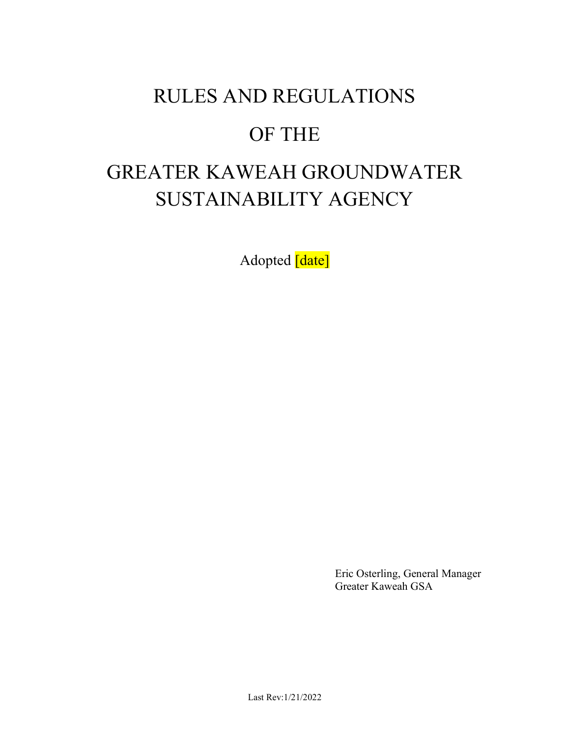## RULES AND REGULATIONS

# OF THE

# GREATER KAWEAH GROUNDWATER SUSTAINABILITY AGENCY

Adopted [date]

 Eric Osterling, General Manager Greater Kaweah GSA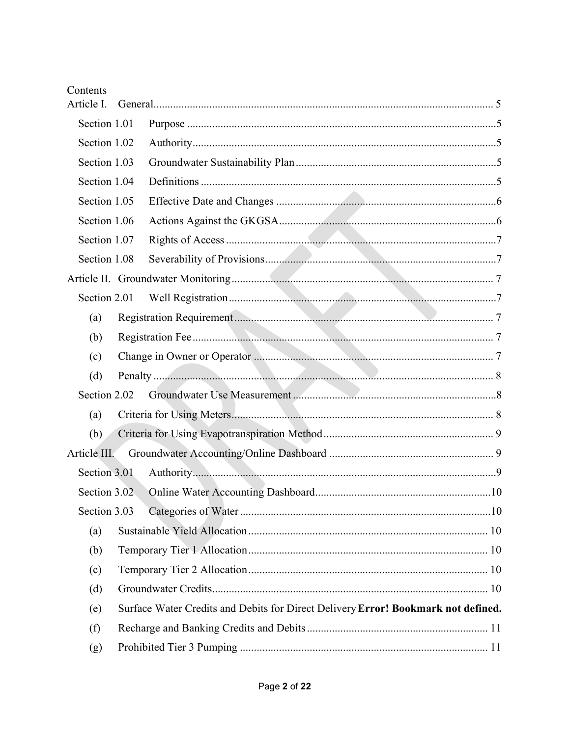| Contents<br>Article I. |                                                                                   |
|------------------------|-----------------------------------------------------------------------------------|
| Section 1.01           |                                                                                   |
| Section 1.02           |                                                                                   |
| Section 1.03           |                                                                                   |
| Section 1.04           |                                                                                   |
| Section 1.05           |                                                                                   |
| Section 1.06           |                                                                                   |
| Section 1.07           |                                                                                   |
| Section 1.08           |                                                                                   |
|                        |                                                                                   |
| Section 2.01           |                                                                                   |
| (a)                    |                                                                                   |
| (b)                    |                                                                                   |
| (c)                    |                                                                                   |
| (d)                    |                                                                                   |
| Section 2.02           |                                                                                   |
| (a)                    |                                                                                   |
| (b)                    |                                                                                   |
| Article III.           |                                                                                   |
| Section 3.01           |                                                                                   |
| Section 3.02           |                                                                                   |
| Section 3.03           |                                                                                   |
| (a)                    |                                                                                   |
| (b)                    |                                                                                   |
| (c)                    |                                                                                   |
| (d)                    |                                                                                   |
| (e)                    | Surface Water Credits and Debits for Direct Delivery Error! Bookmark not defined. |
| (f)                    |                                                                                   |
| (g)                    |                                                                                   |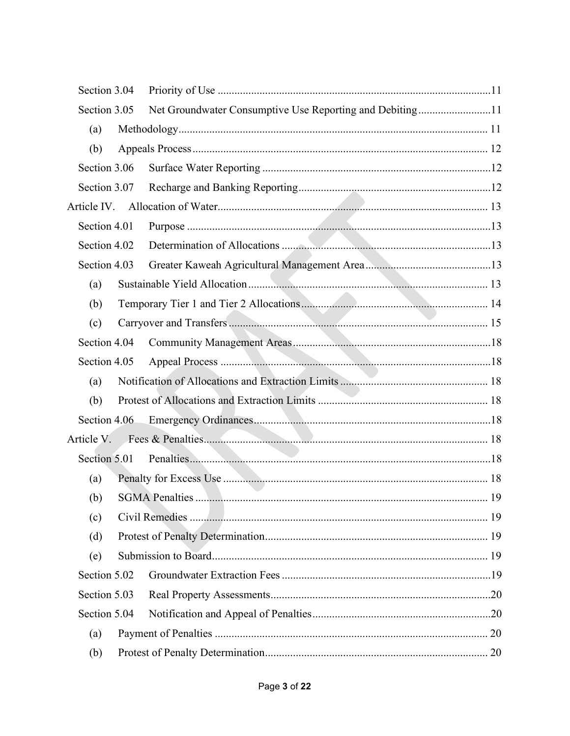| Section 3.04 |                                                          |    |
|--------------|----------------------------------------------------------|----|
| Section 3.05 | Net Groundwater Consumptive Use Reporting and Debiting11 |    |
| (a)          |                                                          |    |
| (b)          |                                                          |    |
| Section 3.06 |                                                          |    |
| Section 3.07 |                                                          |    |
|              |                                                          |    |
| Section 4.01 |                                                          |    |
| Section 4.02 |                                                          |    |
| Section 4.03 |                                                          |    |
| (a)          |                                                          |    |
| (b)          |                                                          |    |
| (c)          |                                                          |    |
| Section 4.04 |                                                          |    |
| Section 4.05 |                                                          |    |
| (a)          |                                                          |    |
| (b)          |                                                          |    |
| Section 4.06 |                                                          |    |
|              |                                                          |    |
|              |                                                          |    |
| (a)          |                                                          |    |
| (b)          | <b>SGMA</b> Penalties                                    | 19 |
| (c)          |                                                          |    |
| (d)          |                                                          |    |
| (e)          |                                                          |    |
| Section 5.02 |                                                          |    |
| Section 5.03 |                                                          |    |
| Section 5.04 |                                                          |    |
| (a)          |                                                          |    |
| (b)          |                                                          |    |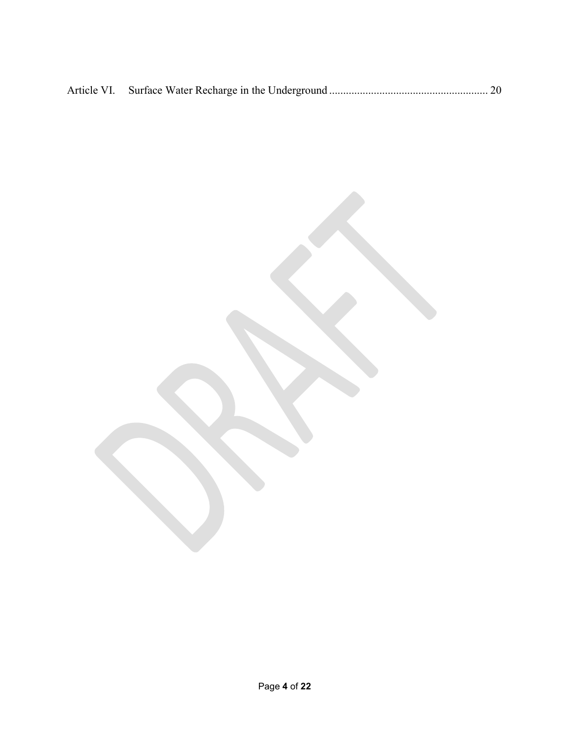Page 4 of 22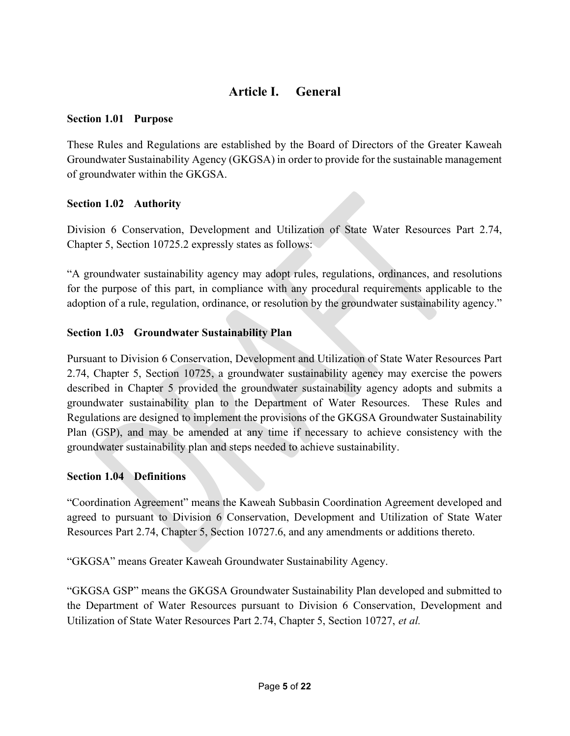## Article I. General

## Section 1.01 Purpose

These Rules and Regulations are established by the Board of Directors of the Greater Kaweah Groundwater Sustainability Agency (GKGSA) in order to provide for the sustainable management of groundwater within the GKGSA.

## Section 1.02 Authority

Division 6 Conservation, Development and Utilization of State Water Resources Part 2.74, Chapter 5, Section 10725.2 expressly states as follows:

"A groundwater sustainability agency may adopt rules, regulations, ordinances, and resolutions for the purpose of this part, in compliance with any procedural requirements applicable to the adoption of a rule, regulation, ordinance, or resolution by the groundwater sustainability agency."

## Section 1.03 Groundwater Sustainability Plan

Pursuant to Division 6 Conservation, Development and Utilization of State Water Resources Part 2.74, Chapter 5, Section 10725, a groundwater sustainability agency may exercise the powers described in Chapter 5 provided the groundwater sustainability agency adopts and submits a groundwater sustainability plan to the Department of Water Resources. These Rules and Regulations are designed to implement the provisions of the GKGSA Groundwater Sustainability Plan (GSP), and may be amended at any time if necessary to achieve consistency with the groundwater sustainability plan and steps needed to achieve sustainability.

## Section 1.04 Definitions

"Coordination Agreement" means the Kaweah Subbasin Coordination Agreement developed and agreed to pursuant to Division 6 Conservation, Development and Utilization of State Water Resources Part 2.74, Chapter 5, Section 10727.6, and any amendments or additions thereto.

"GKGSA" means Greater Kaweah Groundwater Sustainability Agency.

"GKGSA GSP" means the GKGSA Groundwater Sustainability Plan developed and submitted to the Department of Water Resources pursuant to Division 6 Conservation, Development and Utilization of State Water Resources Part 2.74, Chapter 5, Section 10727, et al.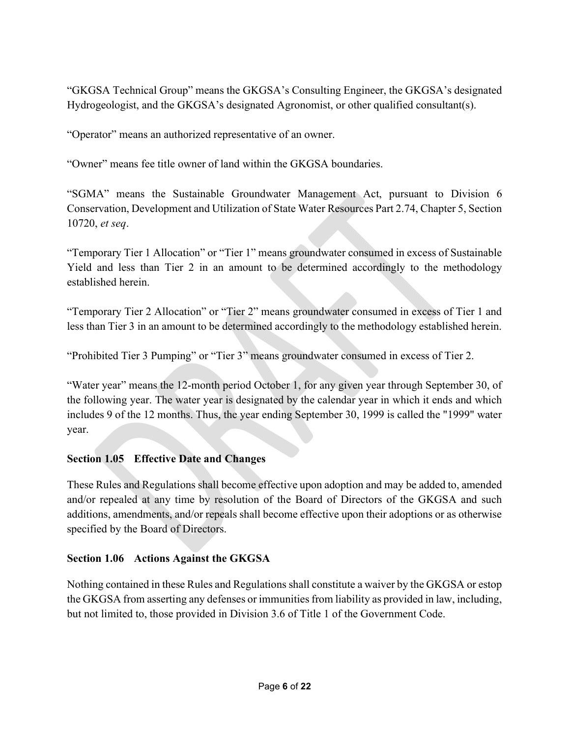"GKGSA Technical Group" means the GKGSA's Consulting Engineer, the GKGSA's designated Hydrogeologist, and the GKGSA's designated Agronomist, or other qualified consultant(s).

"Operator" means an authorized representative of an owner.

"Owner" means fee title owner of land within the GKGSA boundaries.

"SGMA" means the Sustainable Groundwater Management Act, pursuant to Division 6 Conservation, Development and Utilization of State Water Resources Part 2.74, Chapter 5, Section 10720, et seq.

"Temporary Tier 1 Allocation" or "Tier 1" means groundwater consumed in excess of Sustainable Yield and less than Tier 2 in an amount to be determined accordingly to the methodology established herein.

"Temporary Tier 2 Allocation" or "Tier 2" means groundwater consumed in excess of Tier 1 and less than Tier 3 in an amount to be determined accordingly to the methodology established herein.

"Prohibited Tier 3 Pumping" or "Tier 3" means groundwater consumed in excess of Tier 2.

"Water year" means the 12-month period October 1, for any given year through September 30, of the following year. The water year is designated by the calendar year in which it ends and which includes 9 of the 12 months. Thus, the year ending September 30, 1999 is called the "1999" water year.

## Section 1.05 Effective Date and Changes

These Rules and Regulations shall become effective upon adoption and may be added to, amended and/or repealed at any time by resolution of the Board of Directors of the GKGSA and such additions, amendments, and/or repeals shall become effective upon their adoptions or as otherwise specified by the Board of Directors.

## Section 1.06 Actions Against the GKGSA

Nothing contained in these Rules and Regulations shall constitute a waiver by the GKGSA or estop the GKGSA from asserting any defenses or immunities from liability as provided in law, including, but not limited to, those provided in Division 3.6 of Title 1 of the Government Code.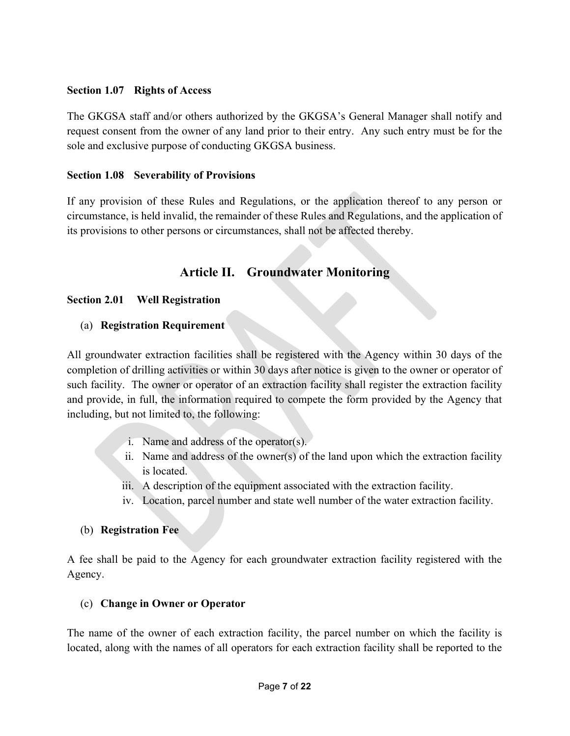## Section 1.07 Rights of Access

The GKGSA staff and/or others authorized by the GKGSA's General Manager shall notify and request consent from the owner of any land prior to their entry. Any such entry must be for the sole and exclusive purpose of conducting GKGSA business.

#### Section 1.08 Severability of Provisions

If any provision of these Rules and Regulations, or the application thereof to any person or circumstance, is held invalid, the remainder of these Rules and Regulations, and the application of its provisions to other persons or circumstances, shall not be affected thereby.

## Article II. Groundwater Monitoring

## Section 2.01 Well Registration

## (a) Registration Requirement

All groundwater extraction facilities shall be registered with the Agency within 30 days of the completion of drilling activities or within 30 days after notice is given to the owner or operator of such facility. The owner or operator of an extraction facility shall register the extraction facility and provide, in full, the information required to compete the form provided by the Agency that including, but not limited to, the following:

- i. Name and address of the operator(s).
- ii. Name and address of the owner(s) of the land upon which the extraction facility is located.
- iii. A description of the equipment associated with the extraction facility.
- iv. Location, parcel number and state well number of the water extraction facility.

## (b) Registration Fee

A fee shall be paid to the Agency for each groundwater extraction facility registered with the Agency.

## (c) Change in Owner or Operator

The name of the owner of each extraction facility, the parcel number on which the facility is located, along with the names of all operators for each extraction facility shall be reported to the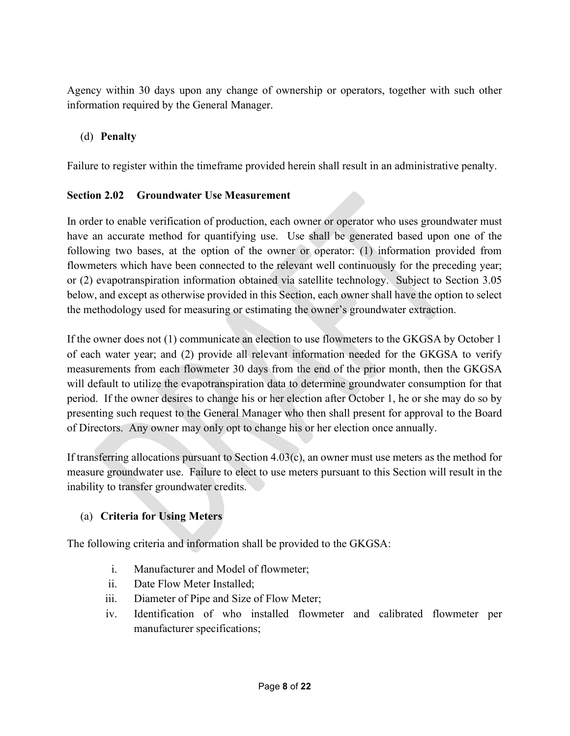Agency within 30 days upon any change of ownership or operators, together with such other information required by the General Manager.

## (d) Penalty

Failure to register within the timeframe provided herein shall result in an administrative penalty.

## Section 2.02 Groundwater Use Measurement

In order to enable verification of production, each owner or operator who uses groundwater must have an accurate method for quantifying use. Use shall be generated based upon one of the following two bases, at the option of the owner or operator: (1) information provided from flowmeters which have been connected to the relevant well continuously for the preceding year; or (2) evapotranspiration information obtained via satellite technology. Subject to Section 3.05 below, and except as otherwise provided in this Section, each owner shall have the option to select the methodology used for measuring or estimating the owner's groundwater extraction.

If the owner does not (1) communicate an election to use flowmeters to the GKGSA by October 1 of each water year; and (2) provide all relevant information needed for the GKGSA to verify measurements from each flowmeter 30 days from the end of the prior month, then the GKGSA will default to utilize the evapotranspiration data to determine groundwater consumption for that period. If the owner desires to change his or her election after October 1, he or she may do so by presenting such request to the General Manager who then shall present for approval to the Board of Directors. Any owner may only opt to change his or her election once annually.

If transferring allocations pursuant to Section  $4.03(c)$ , an owner must use meters as the method for measure groundwater use. Failure to elect to use meters pursuant to this Section will result in the inability to transfer groundwater credits.

## (a) Criteria for Using Meters

The following criteria and information shall be provided to the GKGSA:

- i. Manufacturer and Model of flowmeter;
- ii. Date Flow Meter Installed;
- iii. Diameter of Pipe and Size of Flow Meter;
- iv. Identification of who installed flowmeter and calibrated flowmeter per manufacturer specifications;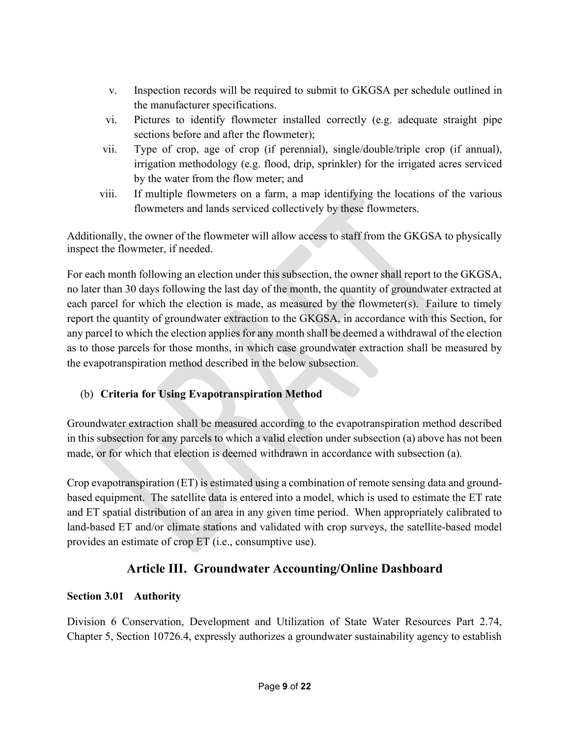- v. Inspection records will be required to submit to GKGSA per schedule outlined in the manufacturer specifications.
- vi. Pictures to identify flowmeter installed correctly (e.g. adequate straight pipe sections before and after the flowmeter);
- vii. Type of crop, age of crop (if perennial), single/double/triple crop (if annual), irrigation methodology (e.g. flood, drip, sprinkler) for the irrigated acres serviced by the water from the flow meter; and
- viii. If multiple flowmeters on a farm, a map identifying the locations of the various flowmeters and lands serviced collectively by these flowmeters.

Additionally, the owner of the flowmeter will allow access to staff from the GKGSA to physically inspect the flowmeter, if needed.

For each month following an election under this subsection, the owner shall report to the GKGSA, no later than 30 days following the last day of the month, the quantity of groundwater extracted at each parcel for which the election is made, as measured by the flowmeter(s). Failure to timely report the quantity of groundwater extraction to the GKGSA, in accordance with this Section, for any parcel to which the election applies for any month shall be deemed a withdrawal of the election as to those parcels for those months, in which case groundwater extraction shall be measured by the evapotranspiration method described in the below subsection.

## (b) Criteria for Using Evapotranspiration Method

Groundwater extraction shall be measured according to the evapotranspiration method described in this subsection for any parcels to which a valid election under subsection (a) above has not been made, or for which that election is deemed withdrawn in accordance with subsection (a).

Crop evapotranspiration (ET) is estimated using a combination of remote sensing data and groundbased equipment. The satellite data is entered into a model, which is used to estimate the ET rate and ET spatial distribution of an area in any given time period. When appropriately calibrated to land-based ET and/or climate stations and validated with crop surveys, the satellite-based model provides an estimate of crop ET (i.e., consumptive use).

## Article III. Groundwater Accounting/Online Dashboard

## Section 3.01 Authority

Division 6 Conservation, Development and Utilization of State Water Resources Part 2.74, Chapter 5, Section 10726.4, expressly authorizes a groundwater sustainability agency to establish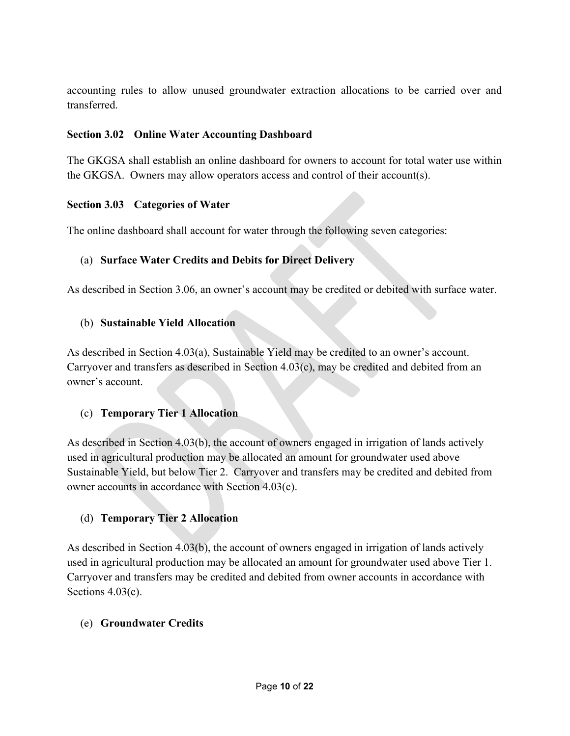accounting rules to allow unused groundwater extraction allocations to be carried over and transferred.

## Section 3.02 Online Water Accounting Dashboard

The GKGSA shall establish an online dashboard for owners to account for total water use within the GKGSA. Owners may allow operators access and control of their account(s).

## Section 3.03 Categories of Water

The online dashboard shall account for water through the following seven categories:

## (a) Surface Water Credits and Debits for Direct Delivery

As described in Section 3.06, an owner's account may be credited or debited with surface water.

## (b) Sustainable Yield Allocation

As described in Section 4.03(a), Sustainable Yield may be credited to an owner's account. Carryover and transfers as described in Section 4.03(c), may be credited and debited from an owner's account.

## (c) Temporary Tier 1 Allocation

As described in Section 4.03(b), the account of owners engaged in irrigation of lands actively used in agricultural production may be allocated an amount for groundwater used above Sustainable Yield, but below Tier 2. Carryover and transfers may be credited and debited from owner accounts in accordance with Section 4.03(c).

## (d) Temporary Tier 2 Allocation

As described in Section 4.03(b), the account of owners engaged in irrigation of lands actively used in agricultural production may be allocated an amount for groundwater used above Tier 1. Carryover and transfers may be credited and debited from owner accounts in accordance with Sections 4.03(c).

## (e) Groundwater Credits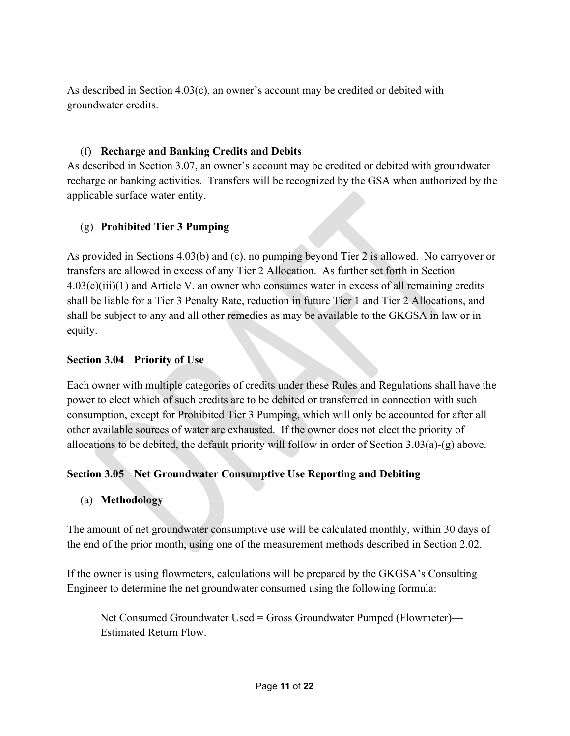As described in Section  $4.03(c)$ , an owner's account may be credited or debited with groundwater credits.

## (f) Recharge and Banking Credits and Debits

As described in Section 3.07, an owner's account may be credited or debited with groundwater recharge or banking activities. Transfers will be recognized by the GSA when authorized by the applicable surface water entity.

## (g) Prohibited Tier 3 Pumping

As provided in Sections 4.03(b) and (c), no pumping beyond Tier 2 is allowed. No carryover or transfers are allowed in excess of any Tier 2 Allocation. As further set forth in Section  $4.03(c)(iii)(1)$  and Article V, an owner who consumes water in excess of all remaining credits shall be liable for a Tier 3 Penalty Rate, reduction in future Tier 1 and Tier 2 Allocations, and shall be subject to any and all other remedies as may be available to the GKGSA in law or in equity.

## Section 3.04 Priority of Use

Each owner with multiple categories of credits under these Rules and Regulations shall have the power to elect which of such credits are to be debited or transferred in connection with such consumption, except for Prohibited Tier 3 Pumping, which will only be accounted for after all other available sources of water are exhausted. If the owner does not elect the priority of allocations to be debited, the default priority will follow in order of Section 3.03(a)-(g) above.

## Section 3.05 Net Groundwater Consumptive Use Reporting and Debiting

## (a) Methodology

The amount of net groundwater consumptive use will be calculated monthly, within 30 days of the end of the prior month, using one of the measurement methods described in Section 2.02.

If the owner is using flowmeters, calculations will be prepared by the GKGSA's Consulting Engineer to determine the net groundwater consumed using the following formula:

Net Consumed Groundwater Used = Gross Groundwater Pumped (Flowmeter)— Estimated Return Flow.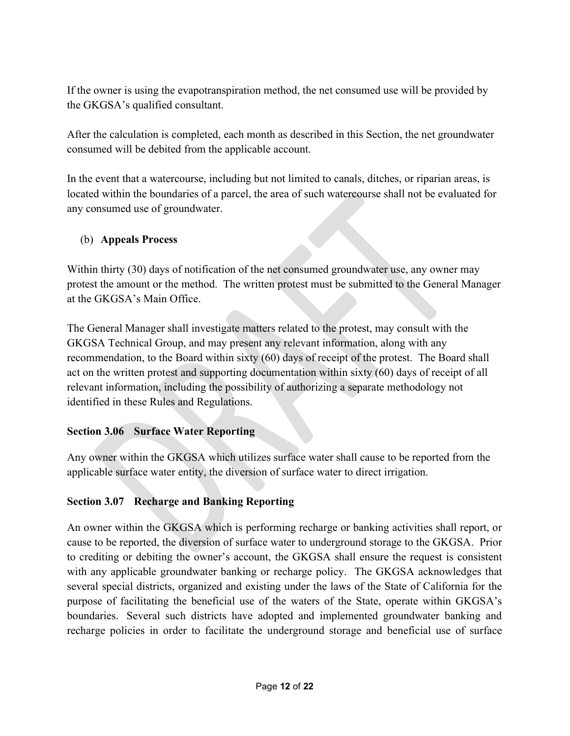If the owner is using the evapotranspiration method, the net consumed use will be provided by the GKGSA's qualified consultant.

After the calculation is completed, each month as described in this Section, the net groundwater consumed will be debited from the applicable account.

In the event that a watercourse, including but not limited to canals, ditches, or riparian areas, is located within the boundaries of a parcel, the area of such watercourse shall not be evaluated for any consumed use of groundwater.

## (b) Appeals Process

Within thirty (30) days of notification of the net consumed groundwater use, any owner may protest the amount or the method. The written protest must be submitted to the General Manager at the GKGSA's Main Office.

The General Manager shall investigate matters related to the protest, may consult with the GKGSA Technical Group, and may present any relevant information, along with any recommendation, to the Board within sixty (60) days of receipt of the protest. The Board shall act on the written protest and supporting documentation within sixty (60) days of receipt of all relevant information, including the possibility of authorizing a separate methodology not identified in these Rules and Regulations.

## Section 3.06 Surface Water Reporting

Any owner within the GKGSA which utilizes surface water shall cause to be reported from the applicable surface water entity, the diversion of surface water to direct irrigation.

## Section 3.07 Recharge and Banking Reporting

An owner within the GKGSA which is performing recharge or banking activities shall report, or cause to be reported, the diversion of surface water to underground storage to the GKGSA. Prior to crediting or debiting the owner's account, the GKGSA shall ensure the request is consistent with any applicable groundwater banking or recharge policy. The GKGSA acknowledges that several special districts, organized and existing under the laws of the State of California for the purpose of facilitating the beneficial use of the waters of the State, operate within GKGSA's boundaries. Several such districts have adopted and implemented groundwater banking and recharge policies in order to facilitate the underground storage and beneficial use of surface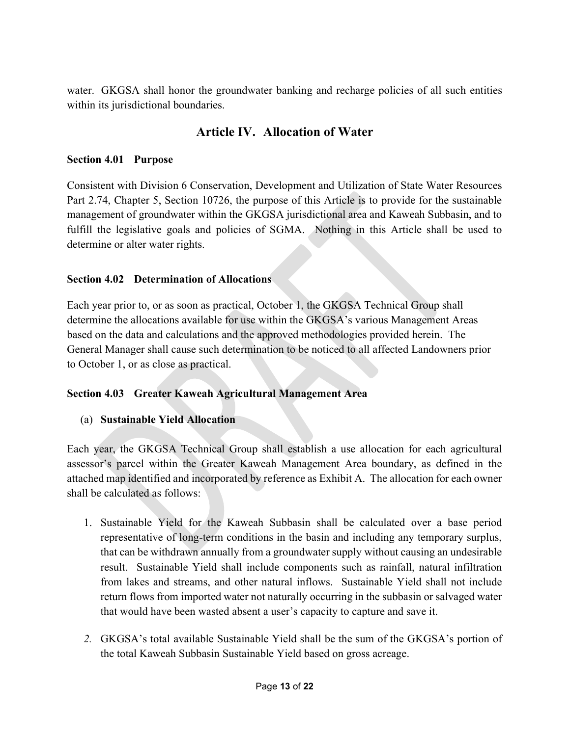water. GKGSA shall honor the groundwater banking and recharge policies of all such entities within its jurisdictional boundaries.

## Article IV. Allocation of Water

## Section 4.01 Purpose

Consistent with Division 6 Conservation, Development and Utilization of State Water Resources Part 2.74, Chapter 5, Section 10726, the purpose of this Article is to provide for the sustainable management of groundwater within the GKGSA jurisdictional area and Kaweah Subbasin, and to fulfill the legislative goals and policies of SGMA. Nothing in this Article shall be used to determine or alter water rights.

## Section 4.02 Determination of Allocations

Each year prior to, or as soon as practical, October 1, the GKGSA Technical Group shall determine the allocations available for use within the GKGSA's various Management Areas based on the data and calculations and the approved methodologies provided herein. The General Manager shall cause such determination to be noticed to all affected Landowners prior to October 1, or as close as practical.

## Section 4.03 Greater Kaweah Agricultural Management Area

## (a) Sustainable Yield Allocation

Each year, the GKGSA Technical Group shall establish a use allocation for each agricultural assessor's parcel within the Greater Kaweah Management Area boundary, as defined in the attached map identified and incorporated by reference as Exhibit A. The allocation for each owner shall be calculated as follows:

- 1. Sustainable Yield for the Kaweah Subbasin shall be calculated over a base period representative of long-term conditions in the basin and including any temporary surplus, that can be withdrawn annually from a groundwater supply without causing an undesirable result. Sustainable Yield shall include components such as rainfall, natural infiltration from lakes and streams, and other natural inflows. Sustainable Yield shall not include return flows from imported water not naturally occurring in the subbasin or salvaged water that would have been wasted absent a user's capacity to capture and save it.
- 2. GKGSA's total available Sustainable Yield shall be the sum of the GKGSA's portion of the total Kaweah Subbasin Sustainable Yield based on gross acreage.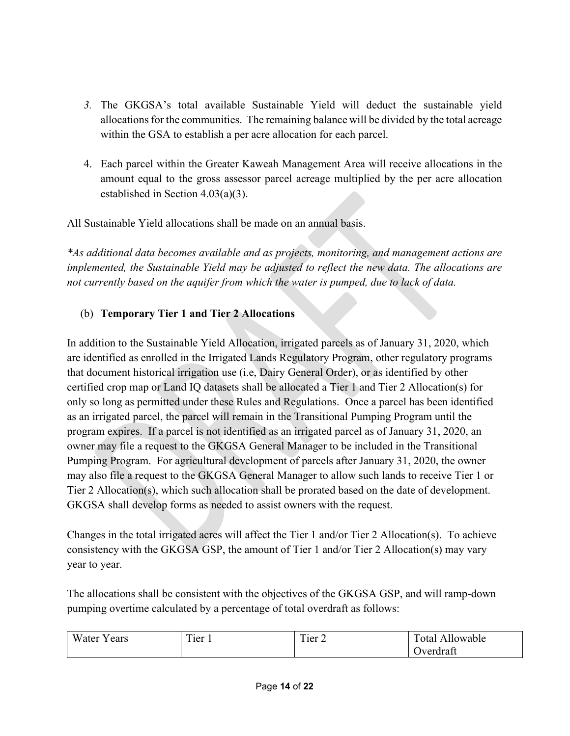- 3. The GKGSA's total available Sustainable Yield will deduct the sustainable yield allocations for the communities. The remaining balance will be divided by the total acreage within the GSA to establish a per acre allocation for each parcel.
- 4. Each parcel within the Greater Kaweah Management Area will receive allocations in the amount equal to the gross assessor parcel acreage multiplied by the per acre allocation established in Section 4.03(a)(3).

All Sustainable Yield allocations shall be made on an annual basis.

\*As additional data becomes available and as projects, monitoring, and management actions are implemented, the Sustainable Yield may be adjusted to reflect the new data. The allocations are not currently based on the aquifer from which the water is pumped, due to lack of data.

## (b) Temporary Tier 1 and Tier 2 Allocations

In addition to the Sustainable Yield Allocation, irrigated parcels as of January 31, 2020, which are identified as enrolled in the Irrigated Lands Regulatory Program, other regulatory programs that document historical irrigation use (i.e, Dairy General Order), or as identified by other certified crop map or Land IQ datasets shall be allocated a Tier 1 and Tier 2 Allocation(s) for only so long as permitted under these Rules and Regulations. Once a parcel has been identified as an irrigated parcel, the parcel will remain in the Transitional Pumping Program until the program expires. If a parcel is not identified as an irrigated parcel as of January 31, 2020, an owner may file a request to the GKGSA General Manager to be included in the Transitional Pumping Program. For agricultural development of parcels after January 31, 2020, the owner may also file a request to the GKGSA General Manager to allow such lands to receive Tier 1 or Tier 2 Allocation(s), which such allocation shall be prorated based on the date of development. GKGSA shall develop forms as needed to assist owners with the request.

Changes in the total irrigated acres will affect the Tier 1 and/or Tier 2 Allocation(s). To achieve consistency with the GKGSA GSP, the amount of Tier 1 and/or Tier 2 Allocation(s) may vary year to year.

The allocations shall be consistent with the objectives of the GKGSA GSP, and will ramp-down pumping overtime calculated by a percentage of total overdraft as follows:

| <b>TTT</b><br>- -<br>$\Delta$<br>W ater<br>Cal S | $\mathbf{r}$<br>m.<br>l ier<br>l'ier 1 |  | $\mathbf{r}$<br>ntя<br>owable |
|--------------------------------------------------|----------------------------------------|--|-------------------------------|
|                                                  |                                        |  | verdraft                      |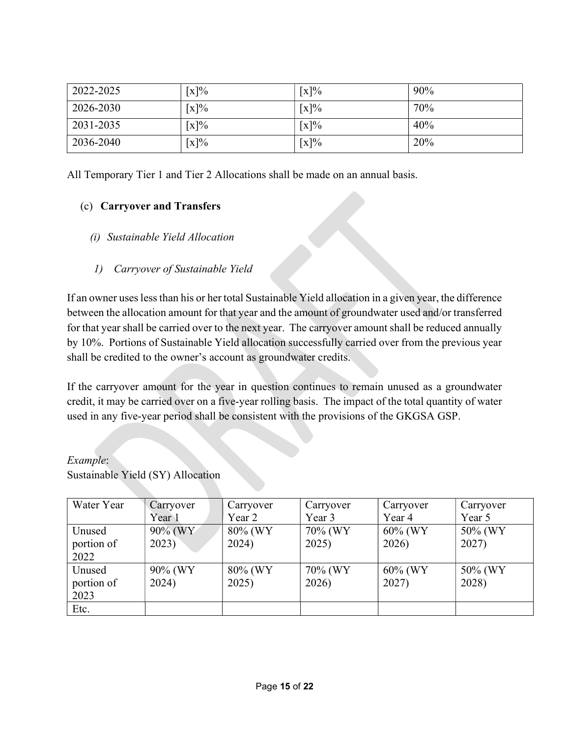| 2022-2025 | $\lceil x \rceil\%$ | $\lceil x \rceil\%$ | 90% |
|-----------|---------------------|---------------------|-----|
| 2026-2030 | $\lceil x \rceil\%$ | $\lceil x \rceil\%$ | 70% |
| 2031-2035 | $\lceil x \rceil\%$ | $\lceil x \rceil\%$ | 40% |
| 2036-2040 | $\lceil x \rceil\%$ | $\lceil x \rceil\%$ | 20% |

All Temporary Tier 1 and Tier 2 Allocations shall be made on an annual basis.

## (c) Carryover and Transfers

- (i) Sustainable Yield Allocation
- 1) Carryover of Sustainable Yield

If an owner uses less than his or her total Sustainable Yield allocation in a given year, the difference between the allocation amount for that year and the amount of groundwater used and/or transferred for that year shall be carried over to the next year. The carryover amount shall be reduced annually by 10%. Portions of Sustainable Yield allocation successfully carried over from the previous year shall be credited to the owner's account as groundwater credits.

If the carryover amount for the year in question continues to remain unused as a groundwater credit, it may be carried over on a five-year rolling basis. The impact of the total quantity of water used in any five-year period shall be consistent with the provisions of the GKGSA GSP.

#### Example:

Sustainable Yield (SY) Allocation

| Water Year | Carryover | Carryover | Carryover | Carryover  | Carryover |
|------------|-----------|-----------|-----------|------------|-----------|
|            | Year 1    | Year 2    | Year 3    | Year 4     | Year 5    |
| Unused     | 90% (WY   | 80% (WY   | 70% (WY   | $60\%$ (WY | 50% (WY   |
| portion of | 2023)     | 2024)     | 2025)     | 2026)      | 2027)     |
| 2022       |           |           |           |            |           |
| Unused     | 90% (WY   | 80% (WY   | 70% (WY   | $60\%$ (WY | 50% (WY   |
| portion of | 2024)     | 2025)     | 2026)     | 2027)      | 2028)     |
| 2023       |           |           |           |            |           |
| Etc.       |           |           |           |            |           |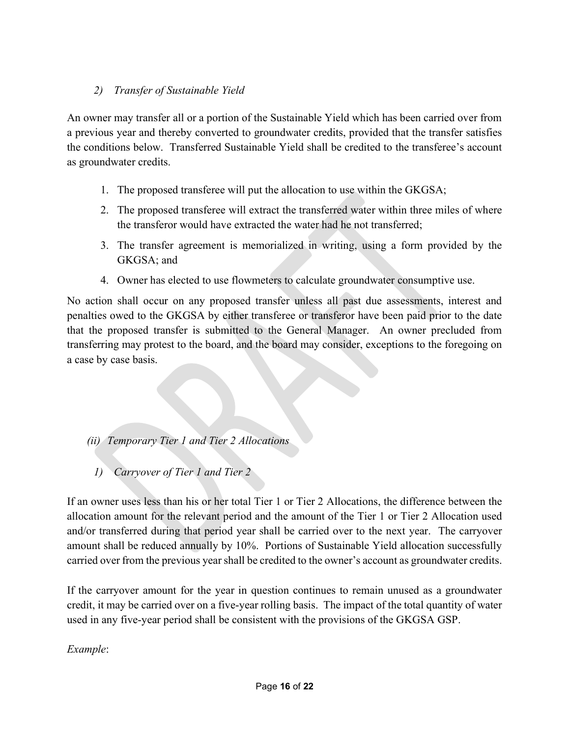## 2) Transfer of Sustainable Yield

An owner may transfer all or a portion of the Sustainable Yield which has been carried over from a previous year and thereby converted to groundwater credits, provided that the transfer satisfies the conditions below. Transferred Sustainable Yield shall be credited to the transferee's account as groundwater credits.

- 1. The proposed transferee will put the allocation to use within the GKGSA;
- 2. The proposed transferee will extract the transferred water within three miles of where the transferor would have extracted the water had he not transferred;
- 3. The transfer agreement is memorialized in writing, using a form provided by the GKGSA; and
- 4. Owner has elected to use flowmeters to calculate groundwater consumptive use.

No action shall occur on any proposed transfer unless all past due assessments, interest and penalties owed to the GKGSA by either transferee or transferor have been paid prior to the date that the proposed transfer is submitted to the General Manager. An owner precluded from transferring may protest to the board, and the board may consider, exceptions to the foregoing on a case by case basis.

## (ii) Temporary Tier 1 and Tier 2 Allocations

1) Carryover of Tier 1 and Tier 2

If an owner uses less than his or her total Tier 1 or Tier 2 Allocations, the difference between the allocation amount for the relevant period and the amount of the Tier 1 or Tier 2 Allocation used and/or transferred during that period year shall be carried over to the next year. The carryover amount shall be reduced annually by 10%. Portions of Sustainable Yield allocation successfully carried over from the previous year shall be credited to the owner's account as groundwater credits.

If the carryover amount for the year in question continues to remain unused as a groundwater credit, it may be carried over on a five-year rolling basis. The impact of the total quantity of water used in any five-year period shall be consistent with the provisions of the GKGSA GSP.

Example: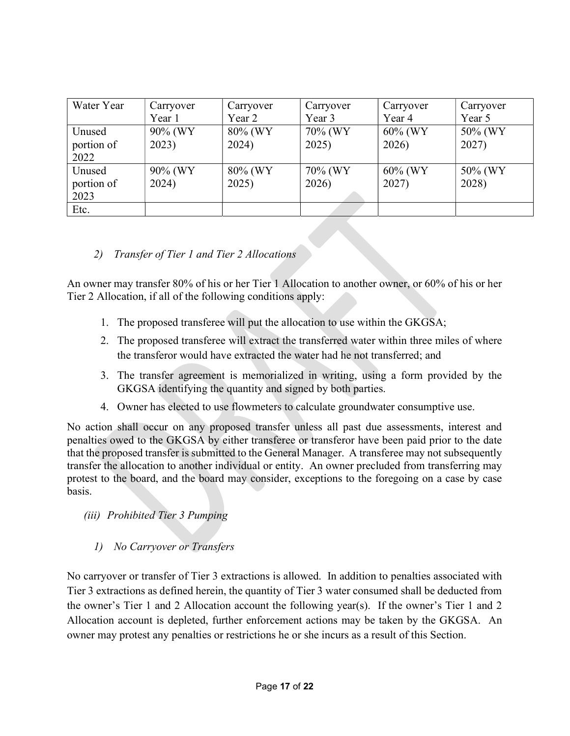| Water Year | Carryover | Carryover | Carryover | Carryover  | Carryover |
|------------|-----------|-----------|-----------|------------|-----------|
|            | Year 1    | Year 2    | Year 3    | Year 4     | Year 5    |
| Unused     | 90% (WY   | 80% (WY   | 70% (WY   | $60\%$ (WY | 50% (WY   |
| portion of | 2023)     | 2024)     | 2025)     | 2026)      | 2027)     |
| 2022       |           |           |           |            |           |
| Unused     | 90% (WY   | 80% (WY   | 70% (WY   | $60\%$ (WY | 50% (WY   |
| portion of | 2024)     | 2025)     | 2026)     | 2027)      | 2028)     |
| 2023       |           |           |           |            |           |
| Etc.       |           |           |           |            |           |

## 2) Transfer of Tier 1 and Tier 2 Allocations

An owner may transfer 80% of his or her Tier 1 Allocation to another owner, or 60% of his or her Tier 2 Allocation, if all of the following conditions apply:

- 1. The proposed transferee will put the allocation to use within the GKGSA;
- 2. The proposed transferee will extract the transferred water within three miles of where the transferor would have extracted the water had he not transferred; and
- 3. The transfer agreement is memorialized in writing, using a form provided by the GKGSA identifying the quantity and signed by both parties.
- 4. Owner has elected to use flowmeters to calculate groundwater consumptive use.

No action shall occur on any proposed transfer unless all past due assessments, interest and penalties owed to the GKGSA by either transferee or transferor have been paid prior to the date that the proposed transfer is submitted to the General Manager. A transferee may not subsequently transfer the allocation to another individual or entity. An owner precluded from transferring may protest to the board, and the board may consider, exceptions to the foregoing on a case by case basis.

- (iii) Prohibited Tier 3 Pumping
	- 1) No Carryover or Transfers

No carryover or transfer of Tier 3 extractions is allowed. In addition to penalties associated with Tier 3 extractions as defined herein, the quantity of Tier 3 water consumed shall be deducted from the owner's Tier 1 and 2 Allocation account the following year(s). If the owner's Tier 1 and 2 Allocation account is depleted, further enforcement actions may be taken by the GKGSA. An owner may protest any penalties or restrictions he or she incurs as a result of this Section.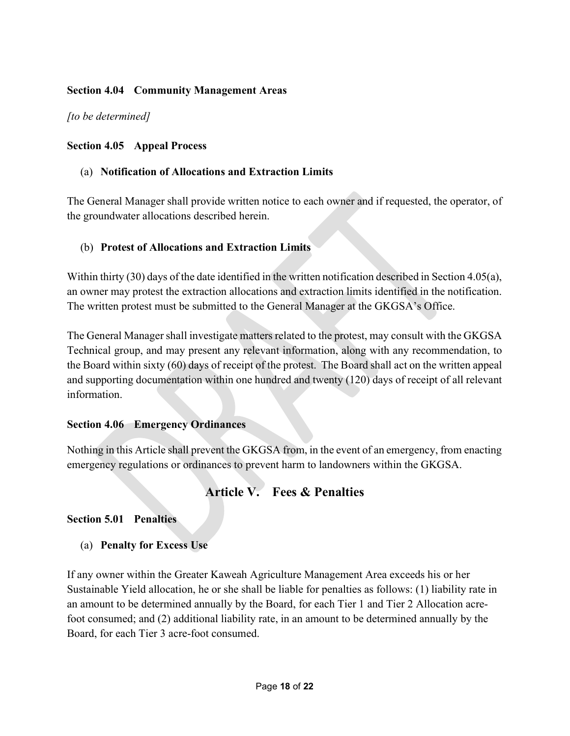## Section 4.04 Community Management Areas

[to be determined]

## Section 4.05 Appeal Process

## (a) Notification of Allocations and Extraction Limits

The General Manager shall provide written notice to each owner and if requested, the operator, of the groundwater allocations described herein.

## (b) Protest of Allocations and Extraction Limits

Within thirty (30) days of the date identified in the written notification described in Section 4.05(a), an owner may protest the extraction allocations and extraction limits identified in the notification. The written protest must be submitted to the General Manager at the GKGSA's Office.

The General Manager shall investigate matters related to the protest, may consult with the GKGSA Technical group, and may present any relevant information, along with any recommendation, to the Board within sixty (60) days of receipt of the protest. The Board shall act on the written appeal and supporting documentation within one hundred and twenty (120) days of receipt of all relevant information.

## Section 4.06 Emergency Ordinances

Nothing in this Article shall prevent the GKGSA from, in the event of an emergency, from enacting emergency regulations or ordinances to prevent harm to landowners within the GKGSA.

## Article V. Fees & Penalties

## Section 5.01 Penalties

(a) Penalty for Excess Use

If any owner within the Greater Kaweah Agriculture Management Area exceeds his or her Sustainable Yield allocation, he or she shall be liable for penalties as follows: (1) liability rate in an amount to be determined annually by the Board, for each Tier 1 and Tier 2 Allocation acrefoot consumed; and (2) additional liability rate, in an amount to be determined annually by the Board, for each Tier 3 acre-foot consumed.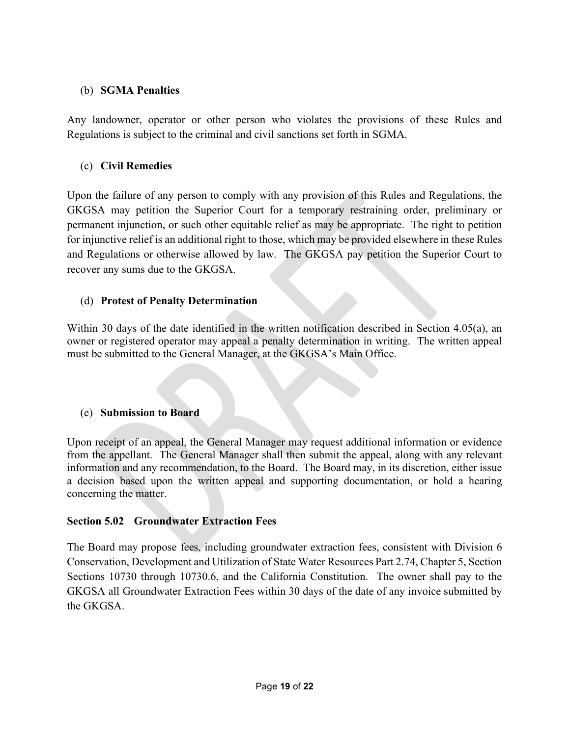## (b) SGMA Penalties

Any landowner, operator or other person who violates the provisions of these Rules and Regulations is subject to the criminal and civil sanctions set forth in SGMA.

## (c) Civil Remedies

Upon the failure of any person to comply with any provision of this Rules and Regulations, the GKGSA may petition the Superior Court for a temporary restraining order, preliminary or permanent injunction, or such other equitable relief as may be appropriate. The right to petition for injunctive relief is an additional right to those, which may be provided elsewhere in these Rules and Regulations or otherwise allowed by law. The GKGSA pay petition the Superior Court to recover any sums due to the GKGSA.

## (d) Protest of Penalty Determination

Within 30 days of the date identified in the written notification described in Section 4.05(a), an owner or registered operator may appeal a penalty determination in writing. The written appeal must be submitted to the General Manager, at the GKGSA's Main Office.

## (e) Submission to Board

Upon receipt of an appeal, the General Manager may request additional information or evidence from the appellant. The General Manager shall then submit the appeal, along with any relevant information and any recommendation, to the Board. The Board may, in its discretion, either issue a decision based upon the written appeal and supporting documentation, or hold a hearing concerning the matter.

## Section 5.02 Groundwater Extraction Fees

The Board may propose fees, including groundwater extraction fees, consistent with Division 6 Conservation, Development and Utilization of State Water Resources Part 2.74, Chapter 5, Section Sections 10730 through 10730.6, and the California Constitution. The owner shall pay to the GKGSA all Groundwater Extraction Fees within 30 days of the date of any invoice submitted by the GKGSA.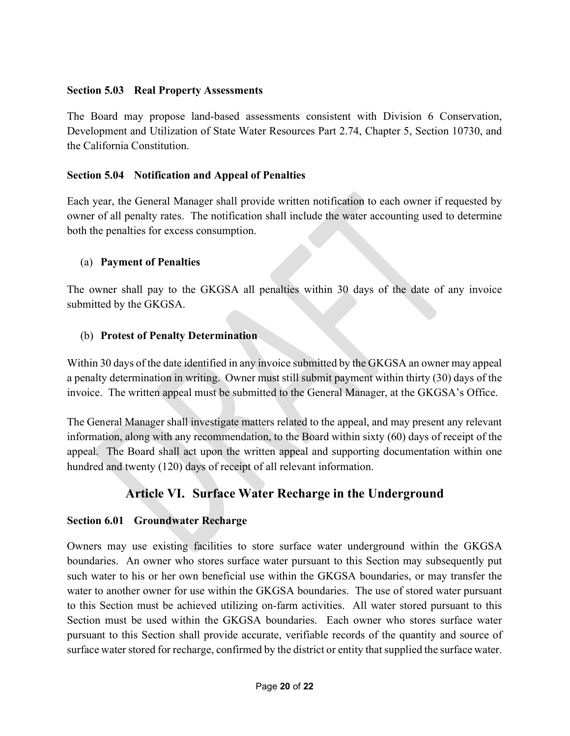## Section 5.03 Real Property Assessments

The Board may propose land-based assessments consistent with Division 6 Conservation, Development and Utilization of State Water Resources Part 2.74, Chapter 5, Section 10730, and the California Constitution.

## Section 5.04 Notification and Appeal of Penalties

Each year, the General Manager shall provide written notification to each owner if requested by owner of all penalty rates. The notification shall include the water accounting used to determine both the penalties for excess consumption.

#### (a) Payment of Penalties

The owner shall pay to the GKGSA all penalties within 30 days of the date of any invoice submitted by the GKGSA.

## (b) Protest of Penalty Determination

Within 30 days of the date identified in any invoice submitted by the GKGSA an owner may appeal a penalty determination in writing. Owner must still submit payment within thirty (30) days of the invoice. The written appeal must be submitted to the General Manager, at the GKGSA's Office.

The General Manager shall investigate matters related to the appeal, and may present any relevant information, along with any recommendation, to the Board within sixty (60) days of receipt of the appeal. The Board shall act upon the written appeal and supporting documentation within one hundred and twenty (120) days of receipt of all relevant information.

## Article VI. Surface Water Recharge in the Underground

## Section 6.01 Groundwater Recharge

Owners may use existing facilities to store surface water underground within the GKGSA boundaries. An owner who stores surface water pursuant to this Section may subsequently put such water to his or her own beneficial use within the GKGSA boundaries, or may transfer the water to another owner for use within the GKGSA boundaries. The use of stored water pursuant to this Section must be achieved utilizing on-farm activities. All water stored pursuant to this Section must be used within the GKGSA boundaries. Each owner who stores surface water pursuant to this Section shall provide accurate, verifiable records of the quantity and source of surface water stored for recharge, confirmed by the district or entity that supplied the surface water.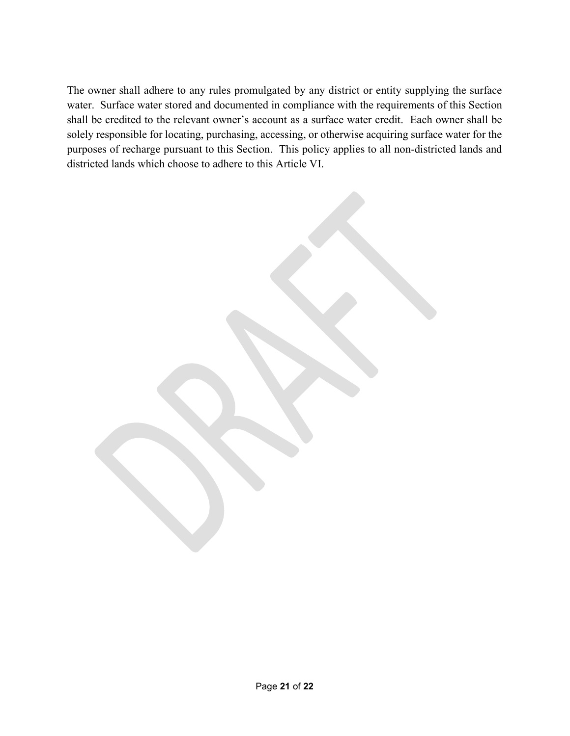The owner shall adhere to any rules promulgated by any district or entity supplying the surface water. Surface water stored and documented in compliance with the requirements of this Section shall be credited to the relevant owner's account as a surface water credit. Each owner shall be solely responsible for locating, purchasing, accessing, or otherwise acquiring surface water for the purposes of recharge pursuant to this Section. This policy applies to all non-districted lands and districted lands which choose to adhere to this Article VI.